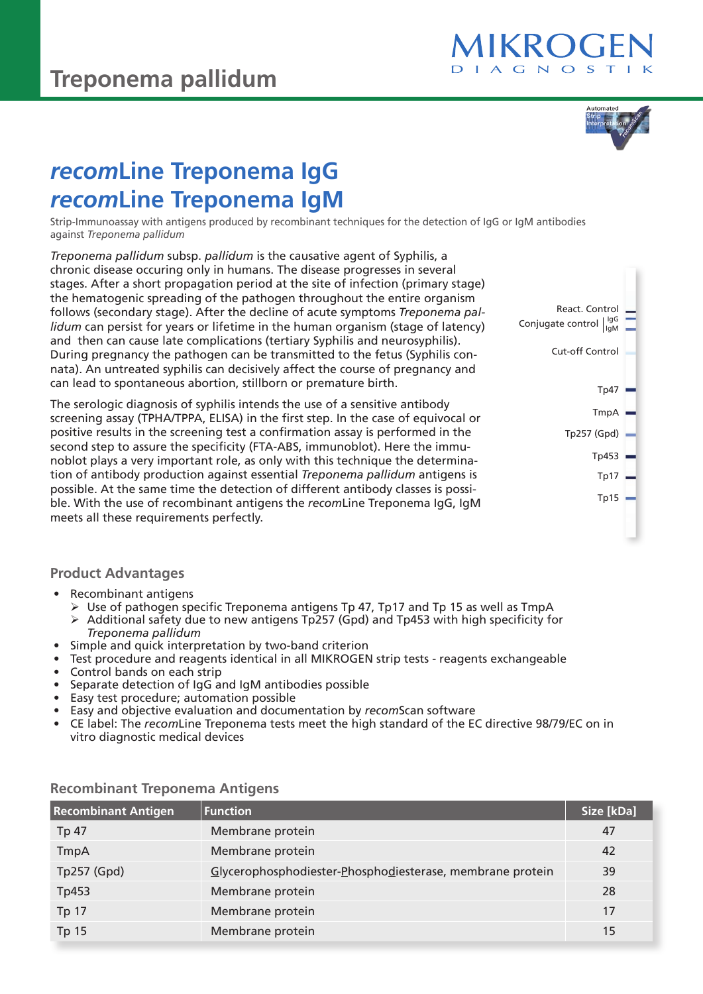



# *recom***Line Treponema IgG** *recom***Line Treponema IgM**

Strip-Immunoassay with antigens produced by recombinant techniques for the detection of IgG or IgM antibodies against *Treponema pallidum*

*Treponema pallidum* subsp. *pallidum* is the causative agent of Syphilis, a chronic disease occuring only in humans. The disease progresses in several stages. After a short propagation period at the site of infection (primary stage) the hematogenic spreading of the pathogen throughout the entire organism follows (secondary stage). After the decline of acute symptoms *Treponema pallidum* can persist for years or lifetime in the human organism (stage of latency) and then can cause late complications (tertiary Syphilis and neurosyphilis). During pregnancy the pathogen can be transmitted to the fetus (Syphilis connata). An untreated syphilis can decisively affect the course of pregnancy and can lead to spontaneous abortion, stillborn or premature birth.

The serologic diagnosis of syphilis intends the use of a sensitive antibody screening assay (TPHA/TPPA, ELISA) in the first step. In the case of equivocal or positive results in the screening test a confirmation assay is performed in the second step to assure the specificity (FTA-ABS, immunoblot). Here the immunoblot plays a very important role, as only with this technique the determination of antibody production against essential *Treponema pallidum* antigens is possible. At the same time the detection of different antibody classes is possible. With the use of recombinant antigens the *recom*Line Treponema IgG, IgM meets all these requirements perfectly.

React. Control Tp47 **TmpA** Tp17 Tp15 Tp257 (Gpd) Tp453 Conjugate control  $\left|\frac{\text{lgG}}{\text{lgM}}\right|$ Cut-off Control

### **Product Advantages**

- Recombinant antigens
	- $\triangleright$  Use of pathogen specific Treponema antigens Tp 47, Tp17 and Tp 15 as well as TmpA
	- $\triangleright$  Additional safety due to new antigens Tp257 (Gpd) and Tp453 with high specificity for *Treponema pallidum*
- Simple and quick interpretation by two-band criterion
- Test procedure and reagents identical in all MIKROGEN strip tests reagents exchangeable
- Control bands on each strip
- Separate detection of IgG and IgM antibodies possible
- Easy test procedure; automation possible
- Easy and objective evaluation and documentation by *recom*Scan software
- CE label: The *recom*Line Treponema tests meet the high standard of the EC directive 98/79/EC on in vitro diagnostic medical devices

| <b>Recombinant Antigen</b> | <b>Function</b>                                           | Size [kDa] |
|----------------------------|-----------------------------------------------------------|------------|
| Tp 47                      | Membrane protein                                          | 47         |
| <b>TmpA</b>                | Membrane protein                                          | 42         |
| Tp257 (Gpd)                | Glycerophosphodiester-Phosphodiesterase, membrane protein | 39         |
| Tp453                      | Membrane protein                                          | 28         |
| Tp 17                      | Membrane protein                                          | 17         |
| Tp 15                      | Membrane protein                                          | 15         |

### **Recombinant Treponema Antigens**